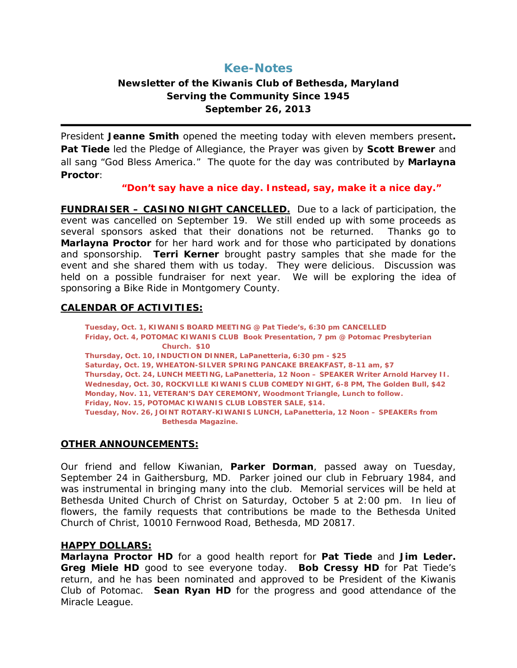# **Kee-Notes**

## **Newsletter of the Kiwanis Club of Bethesda, Maryland Serving the Community Since 1945 September 26, 2013**

President **Jeanne Smith** opened the meeting today with eleven members present**. Pat Tiede** led the Pledge of Allegiance, the Prayer was given by **Scott Brewer** and all sang "God Bless America." The quote for the day was contributed by **Marlayna Proctor**:

*"Don't say have a nice day. Instead, say, make it a nice day."*

**FUNDRAISER – CASINO NIGHT CANCELLED.** Due to a lack of participation, the event was cancelled on September 19. We still ended up with some proceeds as several sponsors asked that their donations not be returned. Thanks go to **Marlayna Proctor** for her hard work and for those who participated by donations and sponsorship. **Terri Kerner** brought pastry samples that she made for the event and she shared them with us today. They were delicious. Discussion was held on a possible fundraiser for next year. We will be exploring the idea of sponsoring a Bike Ride in Montgomery County.

### **CALENDAR OF ACTIVITIES:**

**Tuesday, Oct. 1, KIWANIS BOARD MEETING @ Pat Tiede's, 6:30 pm CANCELLED Friday, Oct. 4, POTOMAC KIWANIS CLUB Book Presentation, 7 pm @ Potomac Presbyterian Church. \$10 Thursday, Oct. 10, INDUCTION DINNER, LaPanetteria, 6:30 pm - \$25 Saturday, Oct. 19, WHEATON-SILVER SPRING PANCAKE BREAKFAST, 8-11 am, \$7 Thursday, Oct. 24, LUNCH MEETING, LaPanetteria, 12 Noon – SPEAKER Writer Arnold Harvey II. Wednesday, Oct. 30, ROCKVILLE KIWANIS CLUB COMEDY NIGHT, 6-8 PM, The Golden Bull, \$42 Monday, Nov. 11, VETERAN'S DAY CEREMONY, Woodmont Triangle, Lunch to follow. Friday, Nov. 15, POTOMAC KIWANIS CLUB LOBSTER SALE, \$14. Tuesday, Nov. 26, JOINT ROTARY-KIWANIS LUNCH, LaPanetteria, 12 Noon – SPEAKERs from Bethesda Magazine.**

### **OTHER ANNOUNCEMENTS:**

Our friend and fellow Kiwanian, **Parker Dorman**, passed away on Tuesday, September 24 in Gaithersburg, MD. Parker joined our club in February 1984, and was instrumental in bringing many into the club. Memorial services will be held at Bethesda United Church of Christ on Saturday, October 5 at 2:00 pm. In lieu of flowers, the family requests that contributions be made to the Bethesda United Church of Christ, 10010 Fernwood Road, Bethesda, MD 20817.

### **HAPPY DOLLARS:**

**Marlayna Proctor HD** for a good health report for **Pat Tiede** and **Jim Leder. Greg Miele HD** good to see everyone today. **Bob Cressy HD** for Pat Tiede's return, and he has been nominated and approved to be President of the Kiwanis Club of Potomac. **Sean Ryan HD** for the progress and good attendance of the Miracle League.